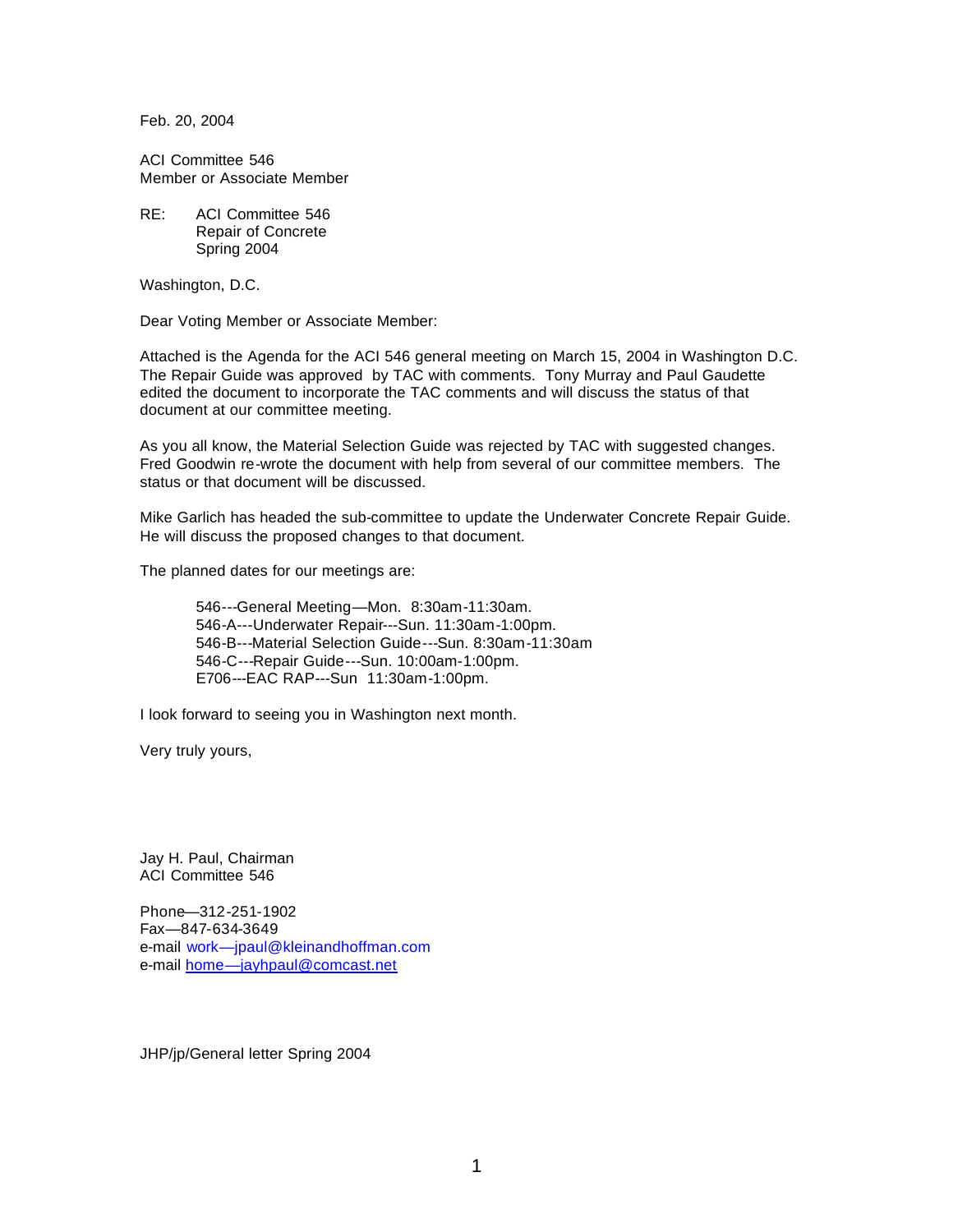Feb. 20, 2004

ACI Committee 546 Member or Associate Member

RE: ACI Committee 546 Repair of Concrete Spring 2004

Washington, D.C.

Dear Voting Member or Associate Member:

Attached is the Agenda for the ACI 546 general meeting on March 15, 2004 in Washington D.C. The Repair Guide was approved by TAC with comments. Tony Murray and Paul Gaudette edited the document to incorporate the TAC comments and will discuss the status of that document at our committee meeting.

As you all know, the Material Selection Guide was rejected by TAC with suggested changes. Fred Goodwin re-wrote the document with help from several of our committee members. The status or that document will be discussed.

Mike Garlich has headed the sub-committee to update the Underwater Concrete Repair Guide. He will discuss the proposed changes to that document.

The planned dates for our meetings are:

546---General Meeting—Mon. 8:30am-11:30am. 546-A---Underwater Repair---Sun. 11:30am-1:00pm. 546-B---Material Selection Guide---Sun. 8:30am-11:30am 546-C---Repair Guide---Sun. 10:00am-1:00pm. E706---EAC RAP---Sun 11:30am-1:00pm.

I look forward to seeing you in Washington next month.

Very truly yours,

Jay H. Paul, Chairman ACI Committee 546

Phone—312-251-1902 Fax—847-634-3649 e-mail work—jpaul@kleinandhoffman.com e-mail home—jayhpaul@comcast.net

JHP/jp/General letter Spring 2004